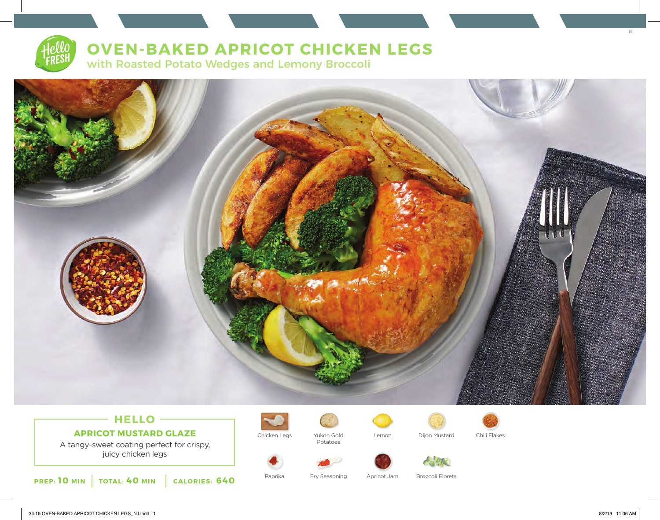# **OVEN-BAKED APRICOT CHICKEN LEGS**

with Roasted Potato Wedges and Lemony Broccoli



## **HELLO APRICOT MUSTARD GLAZE**

A tangy-sweet coating perfect for crispy, juicy chicken legs

**PREP: 10 MIN TOTAL: 40 MIN CALORIES: 640**



Chicken Legs Yukon Gold Lemon Dijon Mustard Chili Flakes Potatoes









Paprika Fry Seasoning Apricot Jam Broccoli Florets

15